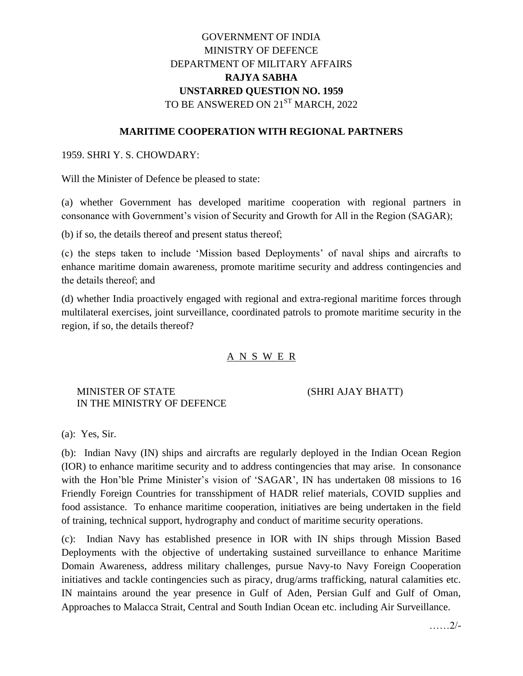# GOVERNMENT OF INDIA MINISTRY OF DEFENCE DEPARTMENT OF MILITARY AFFAIRS **RAJYA SABHA UNSTARRED QUESTION NO. 1959** TO BE ANSWERED ON 21<sup>ST</sup> MARCH, 2022

### **MARITIME COOPERATION WITH REGIONAL PARTNERS**

### 1959. SHRI Y. S. CHOWDARY:

Will the Minister of Defence be pleased to state:

(a) whether Government has developed maritime cooperation with regional partners in consonance with Government's vision of Security and Growth for All in the Region (SAGAR);

(b) if so, the details thereof and present status thereof;

(c) the steps taken to include 'Mission based Deployments' of naval ships and aircrafts to enhance maritime domain awareness, promote maritime security and address contingencies and the details thereof; and

(d) whether India proactively engaged with regional and extra-regional maritime forces through multilateral exercises, joint surveillance, coordinated patrols to promote maritime security in the region, if so, the details thereof?

#### A N S W E R

# MINISTER OF STATE (SHRI AJAY BHATT) IN THE MINISTRY OF DEFENCE

(a): Yes, Sir.

(b): Indian Navy (IN) ships and aircrafts are regularly deployed in the Indian Ocean Region (IOR) to enhance maritime security and to address contingencies that may arise. In consonance with the Hon'ble Prime Minister's vision of 'SAGAR', IN has undertaken 08 missions to 16 Friendly Foreign Countries for transshipment of HADR relief materials, COVID supplies and food assistance. To enhance maritime cooperation, initiatives are being undertaken in the field of training, technical support, hydrography and conduct of maritime security operations.

(c): Indian Navy has established presence in IOR with IN ships through Mission Based Deployments with the objective of undertaking sustained surveillance to enhance Maritime Domain Awareness, address military challenges, pursue Navy-to Navy Foreign Cooperation initiatives and tackle contingencies such as piracy, drug/arms trafficking, natural calamities etc. IN maintains around the year presence in Gulf of Aden, Persian Gulf and Gulf of Oman, Approaches to Malacca Strait, Central and South Indian Ocean etc. including Air Surveillance.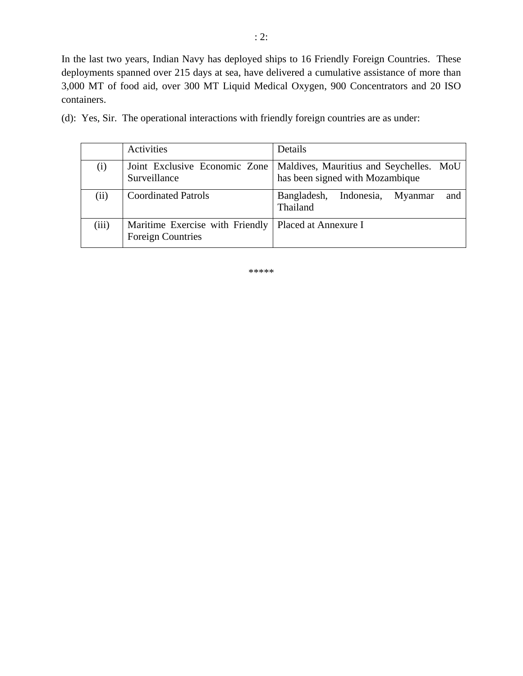In the last two years, Indian Navy has deployed ships to 16 Friendly Foreign Countries. These deployments spanned over 215 days at sea, have delivered a cumulative assistance of more than 3,000 MT of food aid, over 300 MT Liquid Medical Oxygen, 900 Concentrators and 20 ISO containers.

| (d): Yes, Sir. The operational interactions with friendly foreign countries are as under: |  |
|-------------------------------------------------------------------------------------------|--|
|-------------------------------------------------------------------------------------------|--|

|       | Activities                                                                         | Details                                                                    |  |  |
|-------|------------------------------------------------------------------------------------|----------------------------------------------------------------------------|--|--|
| (i)   | Joint Exclusive Economic Zone<br>Surveillance                                      | Maldives, Mauritius and Seychelles. MoU<br>has been signed with Mozambique |  |  |
| (ii)  | <b>Coordinated Patrols</b>                                                         | Bangladesh,<br>Indonesia,<br>and<br>Myanmar<br>Thailand                    |  |  |
| (iii) | Maritime Exercise with Friendly   Placed at Annexure I<br><b>Foreign Countries</b> |                                                                            |  |  |

\*\*\*\*\*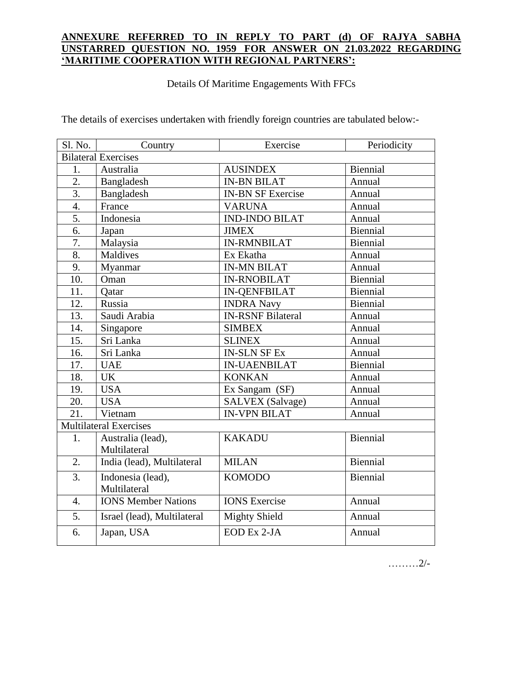# **ANNEXURE REFERRED TO IN REPLY TO PART (d) OF RAJYA SABHA UNSTARRED QUESTION NO. 1959 FOR ANSWER ON 21.03.2022 REGARDING 'MARITIME COOPERATION WITH REGIONAL PARTNERS':**

Details Of Maritime Engagements With FFCs

The details of exercises undertaken with friendly foreign countries are tabulated below:-

| Sl. No.                       | Country                     | Exercise                 | Periodicity     |  |  |
|-------------------------------|-----------------------------|--------------------------|-----------------|--|--|
|                               | <b>Bilateral Exercises</b>  |                          |                 |  |  |
| 1.                            | Australia                   | <b>AUSINDEX</b>          | Biennial        |  |  |
| $\overline{2}$ .              | Bangladesh                  | <b>IN-BN BILAT</b>       | Annual          |  |  |
| $\overline{3}$ .              | Bangladesh                  | <b>IN-BN SF Exercise</b> | Annual          |  |  |
| $\overline{4}$ .              | France                      | <b>VARUNA</b>            | Annual          |  |  |
| $\overline{5}$ .              | Indonesia                   | <b>IND-INDO BILAT</b>    | Annual          |  |  |
| 6.                            | Japan                       | <b>JIMEX</b>             | <b>Biennial</b> |  |  |
| 7.                            | Malaysia                    | <b>IN-RMNBILAT</b>       | Biennial        |  |  |
| 8.                            | <b>Maldives</b>             | Ex Ekatha                | Annual          |  |  |
| 9.                            | Myanmar                     | <b>IN-MN BILAT</b>       | Annual          |  |  |
| 10.                           | Oman                        | <b>IN-RNOBILAT</b>       | <b>Biennial</b> |  |  |
| 11.                           | <b>Qatar</b>                | <b>IN-QENFBILAT</b>      | Biennial        |  |  |
| 12.                           | Russia                      | <b>INDRA Navy</b>        | Biennial        |  |  |
| 13.                           | Saudi Arabia                | <b>IN-RSNF Bilateral</b> | Annual          |  |  |
| 14.                           | Singapore                   | <b>SIMBEX</b>            | Annual          |  |  |
| 15.                           | Sri Lanka                   | <b>SLINEX</b>            | Annual          |  |  |
| 16.                           | Sri Lanka                   | <b>IN-SLN SF Ex</b>      | Annual          |  |  |
| 17.                           | <b>UAE</b>                  | <b>IN-UAENBILAT</b>      | <b>Biennial</b> |  |  |
| 18.                           | <b>UK</b>                   | <b>KONKAN</b>            | Annual          |  |  |
| 19.                           | <b>USA</b>                  | Ex Sangam (SF)           | Annual          |  |  |
| 20.                           | <b>USA</b>                  | <b>SALVEX</b> (Salvage)  | Annual          |  |  |
| 21.                           | Vietnam                     | <b>IN-VPN BILAT</b>      | Annual          |  |  |
| <b>Multilateral Exercises</b> |                             |                          |                 |  |  |
| 1.                            | Australia (lead),           | <b>KAKADU</b>            | <b>Biennial</b> |  |  |
|                               | Multilateral                |                          |                 |  |  |
| 2.                            | India (lead), Multilateral  | <b>MILAN</b>             | <b>Biennial</b> |  |  |
| 3.                            | Indonesia (lead),           | <b>KOMODO</b>            | <b>Biennial</b> |  |  |
|                               | Multilateral                |                          |                 |  |  |
| $\overline{4}$ .              | <b>IONS Member Nations</b>  | <b>IONS</b> Exercise     | Annual          |  |  |
| 5.                            | Israel (lead), Multilateral | <b>Mighty Shield</b>     | Annual          |  |  |
| 6.                            | Japan, USA                  | EOD Ex 2-JA              | Annual          |  |  |
|                               |                             |                          |                 |  |  |